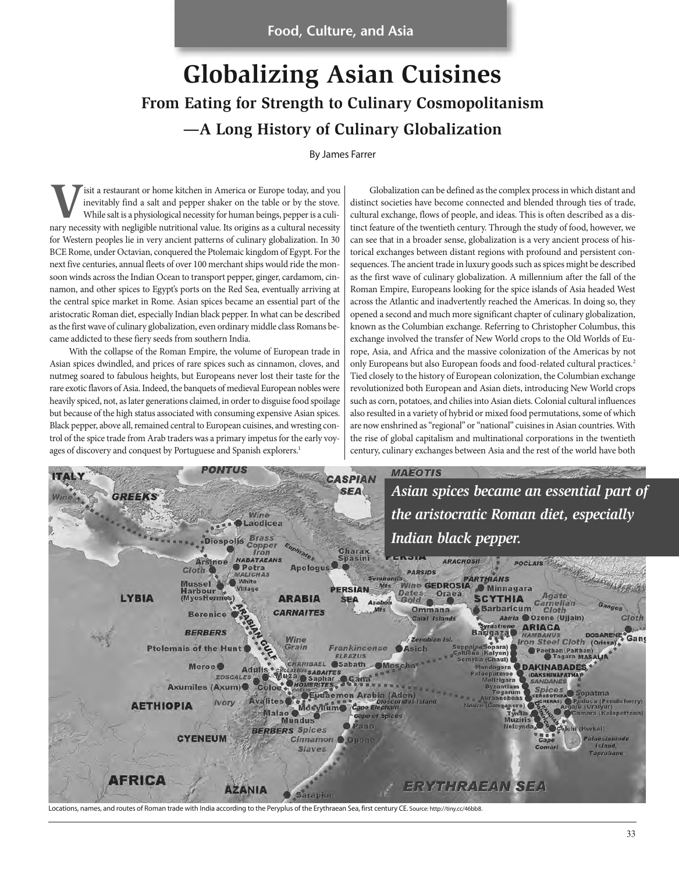# **Globalizing Asian Cuisines From Eating for Strength to Culinary Cosmopolitanism —A Long History of Culinary Globalization**

By James Farrer

**V**isit a restaurant or home kitchen in America or Europe today, and you inevitably find a salt and pepper shaker on the table or by the stove. While salt is a physiological necessity for human beings, pepper is a culinary necessity with negligible nutritional value. Its origins as a cultural necessity for Western peoples lie in very ancient patterns of culinary globalization. In 30 BCE Rome, under Octavian, conquered the Ptolemaic kingdom of Egypt. For the next five centuries, annual fleets of over 100 merchant ships would ride the monsoon winds across the Indian Ocean to transport pepper, ginger, cardamom, cinnamon, and other spices to Egypt's ports on the Red Sea, eventually arriving at the central spice market in Rome. Asian spices became an essential part of the aristocratic Roman diet, especially Indian black pepper. In what can be described as the first wave of culinary globalization, even ordinary middle class Romans became addicted to these fiery seeds from southern India.

With the collapse of the Roman Empire, the volume of European trade in Asian spices dwindled, and prices of rare spices such as cinnamon, cloves, and nutmeg soared to fabulous heights, but Europeans never lost their taste for the rare exotic flavors of Asia. Indeed, the banquets of medieval European nobles were heavily spiced, not, as later generations claimed, in order to disguise food spoilage but because of the high status associated with consuming expensive Asian spices. Black pepper, above all, remained central to European cuisines, and wresting control of the spice trade from Arab traders was a primary impetus for the early voyages of discovery and conquest by Portuguese and Spanish explorers.<sup>1</sup>

Globalization can be defined as the complex process in which distant and distinct societies have become connected and blended through ties of trade, cultural exchange, flows of people, and ideas. This is often described as a distinct feature of the twentieth century. Through the study of food, however, we can see that in a broader sense, globalization is a very ancient process of historical exchanges between distant regions with profound and persistent consequences. The ancient trade in luxury goods such as spices might be described as the first wave of culinary globalization. A millennium after the fall of the Roman Empire, Europeans looking for the spice islands of Asia headed West across the Atlantic and inadvertently reached the Americas. In doing so, they opened a second and much more significant chapter of culinary globalization, known as the Columbian exchange. Referring to Christopher Columbus, this exchange involved the transfer of New World crops to the Old Worlds of Europe, Asia, and Africa and the massive colonization of the Americas by not only Europeans but also European foods and food-related cultural practices.<sup>2</sup> Tied closely to the history of European colonization, the Columbian exchange revolutionized both European and Asian diets, introducing New World crops such as corn, potatoes, and chilies into Asian diets. Colonial cultural influences also resulted in a variety of hybrid or mixed food permutations, some of which are now enshrined as "regional" or "national" cuisines in Asian countries. With the rise of global capitalism and multinational corporations in the twentieth century, culinary exchanges between Asia and the rest of the world have both



33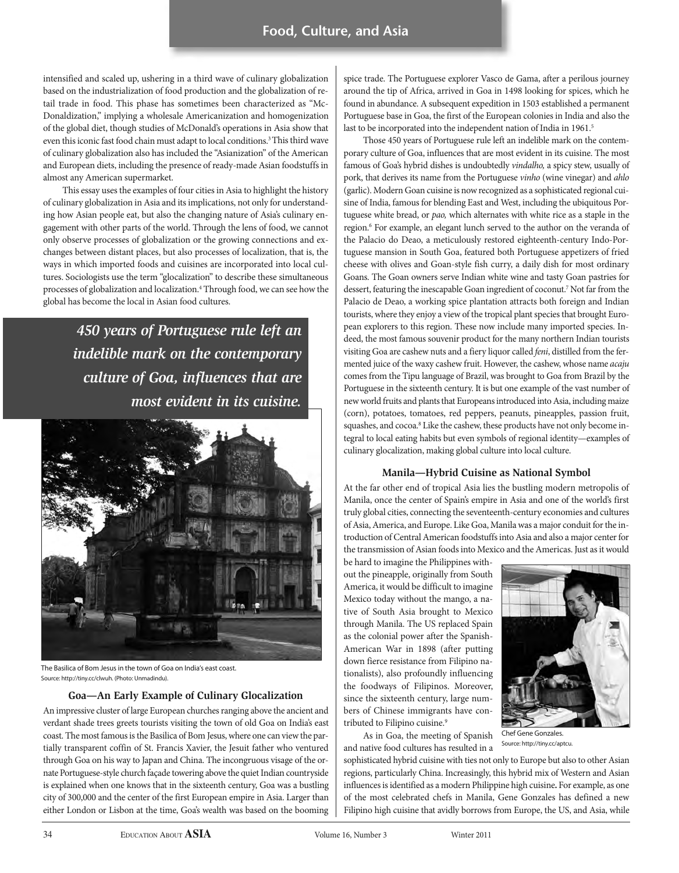intensified and scaled up, ushering in a third wave of culinary globalization based on the industrialization of food production and the globalization of retail trade in food. This phase has sometimes been characterized as "Mc-Donaldization," implying a wholesale Americanization and homogenization of the global diet, though studies of McDonald's operations in Asia show that even this iconic fast food chain must adapt to local conditions.<sup>3</sup> This third wave of culinary globalization also has included the "Asianization" of the American and European diets, including the presence of ready-made Asian foodstuffs in almost any American supermarket.

This essay uses the examples of four cities in Asia to highlight the history of culinary globalization in Asia and its implications, not only for understanding how Asian people eat, but also the changing nature of Asia's culinary engagement with other parts of the world. Through the lens of food, we cannot only observe processes of globalization or the growing connections and exchanges between distant places, but also processes of localization, that is, the ways in which imported foods and cuisines are incorporated into local cultures. Sociologists use the term "glocalization" to describe these simultaneous processes of globalization and localization.4 Through food, we can see how the global has become the local in Asian food cultures.

> *450 years of Portuguese rule left an indelible mark on the contemporary culture of Goa, influences that are most evident in its cuisine.*



The Basilica of Bom Jesus in the town of Goa on India's east coast. Source: http://tiny.cc/clwuh. (Photo: Unmadindu).

### **Goa—An Early Example of Culinary Glocalization**

An impressive cluster of large European churches ranging above the ancient and verdant shade trees greets tourists visiting the town of old Goa on India's east coast. The most famous is the Basilica of Bom Jesus, where one can view the partially transparent coffin of St. Francis Xavier, the Jesuit father who ventured through Goa on his way to Japan and China. The incongruous visage of the ornate Portuguese-style church façade towering above the quiet Indian countryside is explained when one knows that in the sixteenth century, Goa was a bustling city of 300,000 and the center of the first European empire in Asia. Larger than either London or Lisbon at the time, Goa's wealth was based on the booming spice trade. The Portuguese explorer Vasco de Gama, after a perilous journey around the tip of Africa, arrived in Goa in 1498 looking for spices, which he found in abundance. A subsequent expedition in 1503 established a permanent Portuguese base in Goa, the first of the European colonies in India and also the last to be incorporated into the independent nation of India in 1961.<sup>5</sup>

Those 450 years of Portuguese rule left an indelible mark on the contemporary culture of Goa, influences that are most evident in its cuisine. The most famous of Goa's hybrid dishes is undoubtedly vindalho, a spicy stew, usually of pork, that derives its name from the Portuguese vinho (wine vinegar) and ahlo (garlic). Modern Goan cuisine is now recognized as a sophisticated regional cuisine of India, famous for blending East and West, including the ubiquitous Portuguese white bread, or pao, which alternates with white rice as a staple in the region.<sup>6</sup> For example, an elegant lunch served to the author on the veranda of the Palacio do Deao, a meticulously restored eighteenth-century Indo-Portuguese mansion in South Goa, featured both Portuguese appetizers of fried cheese with olives and Goan-style fish curry, a daily dish for most ordinary Goans. The Goan owners serve Indian white wine and tasty Goan pastries for dessert, featuring the inescapable Goan ingredient of coconut.7 Not far from the Palacio de Deao, a working spice plantation attracts both foreign and Indian tourists, where they enjoy a view of the tropical plant species that brought European explorers to this region. These now include many imported species. Indeed, the most famous souvenir product for the many northern Indian tourists visiting Goa are cashew nuts and a fiery liquor called feni, distilled from the fermented juice of the waxy cashew fruit. However, the cashew, whose name acaju comes from the Tipu language of Brazil, was brought to Goa from Brazil by the Portuguese in the sixteenth century. It is but one example of the vast number of new world fruits and plants that Europeans introduced into Asia, including maize (corn), potatoes, tomatoes, red peppers, peanuts, pineapples, passion fruit, squashes, and cocoa.<sup>8</sup> Like the cashew, these products have not only become integral to local eating habits but even symbols of regional identity—examples of culinary glocalization, making global culture into local culture.

### **Manila—Hybrid Cuisine as National Symbol**

At the far other end of tropical Asia lies the bustling modern metropolis of Manila, once the center of Spain's empire in Asia and one of the world's first truly global cities, connecting the seventeenth-century economies and cultures of Asia, America, and Europe. Like Goa, Manila was a major conduit for the introduction of Central American foodstuffs into Asia and also a major center for the transmission of Asian foods into Mexico and the Americas. Just as it would

be hard to imagine the Philippines without the pineapple, originally from South America, it would be difficult to imagine Mexico today without the mango, a native of South Asia brought to Mexico through Manila. The US replaced Spain as the colonial power after the Spanish-American War in 1898 (after putting down fierce resistance from Filipino nationalists), also profoundly influencing the foodways of Filipinos. Moreover, since the sixteenth century, large numbers of Chinese immigrants have contributed to Filipino cuisine.<sup>9</sup>

As in Goa, the meeting of Spanish and native food cultures has resulted in a



Chef Gene Gonzales. Source: http://tiny.cc/aptcu.

sophisticated hybrid cuisine with ties not only to Europe but also to other Asian regions, particularly China. Increasingly, this hybrid mix of Western and Asian influences is identified as a modern Philippine high cuisine**.** For example, as one of the most celebrated chefs in Manila, Gene Gonzales has defined a new Filipino high cuisine that avidly borrows from Europe, the US, and Asia, while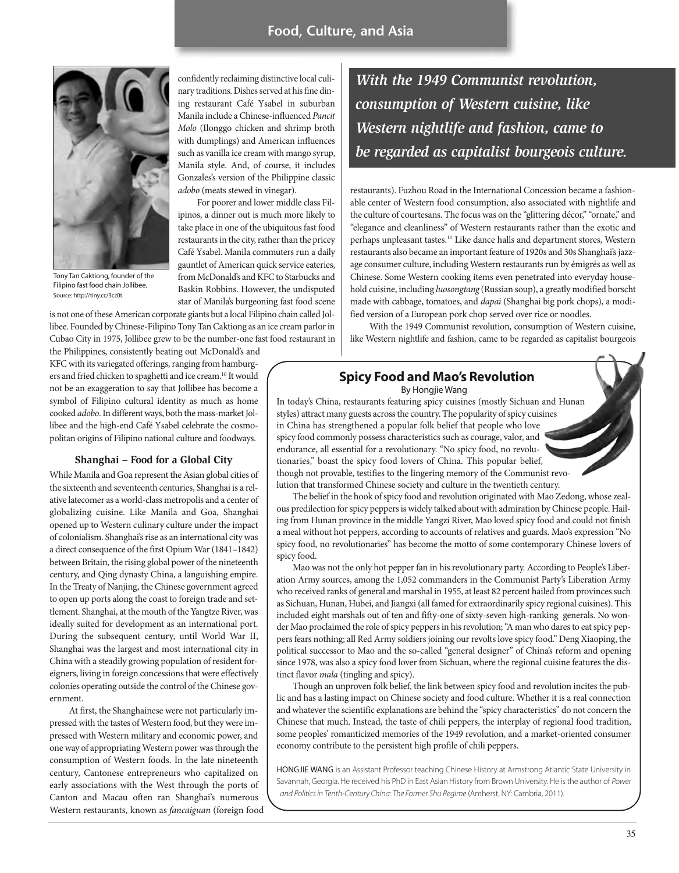

Tony Tan Caktiong, founder of the Filipino fast food chain Jollibee. Source: http://tiny.cc/3cz0t.

confidently reclaiming distinctive local culinary traditions. Dishes served at his fine dining restaurant Café Ysabel in suburban Manila include a Chinese-influenced Pancit Molo (Ilonggo chicken and shrimp broth with dumplings) and American influences such as vanilla ice cream with mango syrup, Manila style. And, of course, it includes Gonzales's version of the Philippine classic adobo (meats stewed in vinegar).

For poorer and lower middle class Filipinos, a dinner out is much more likely to take place in one of the ubiquitous fast food restaurants in the city, rather than the pricey Café Ysabel. Manila commuters run a daily gauntlet of American quick service eateries, from McDonald's and KFC to Starbucks and Baskin Robbins. However, the undisputed star of Manila's burgeoning fast food scene

is not one of these American corporate giants but a local Filipino chain called Jollibee. Founded by Chinese-Filipino Tony Tan Caktiong as an ice cream parlor in Cubao City in 1975, Jollibee grew to be the number-one fast food restaurant in

the Philippines, consistently beating out McDonald's and KFC with its variegated offerings, ranging from hamburgers and fried chicken to spaghetti and ice cream.10 It would not be an exaggeration to say that Jollibee has become a symbol of Filipino cultural identity as much as home cooked adobo. In different ways, both the mass-market Jollibee and the high-end Café Ysabel celebrate the cosmopolitan origins of Filipino national culture and foodways.

#### **Shanghai – Food for a Global City**

While Manila and Goa represent the Asian global cities of the sixteenth and seventeenth centuries, Shanghai is a relative latecomer as a world-class metropolis and a center of globalizing cuisine. Like Manila and Goa, Shanghai opened up to Western culinary culture under the impact of colonialism. Shanghai's rise as an international city was a direct consequence of the first Opium War (1841–1842) between Britain, the rising global power of the nineteenth century, and Qing dynasty China, a languishing empire. In the Treaty of Nanjing, the Chinese government agreed to open up ports along the coast to foreign trade and settlement. Shanghai, at the mouth of the Yangtze River, was ideally suited for development as an international port. During the subsequent century, until World War II, Shanghai was the largest and most international city in China with a steadily growing population of resident foreigners, living in foreign concessions that were effectively colonies operating outside the control of the Chinese government.

At first, the Shanghainese were not particularly impressed with the tastes of Western food, but they were impressed with Western military and economic power, and one way of appropriating Western power was through the consumption of Western foods. In the late nineteenth century, Cantonese entrepreneurs who capitalized on early associations with the West through the ports of Canton and Macau often ran Shanghai's numerous Western restaurants, known as fancaiguan (foreign food

*With the 1949 Communist revolution, consumption of Western cuisine, like Western nightlife and fashion, came to be regarded as capitalist bourgeois culture.*

restaurants). Fuzhou Road in the International Concession became a fashionable center of Western food consumption, also associated with nightlife and the culture of courtesans. The focus was on the "glittering décor," "ornate," and "elegance and cleanliness" of Western restaurants rather than the exotic and perhaps unpleasant tastes.<sup>11</sup> Like dance halls and department stores, Western restaurants also became an important feature of 1920s and 30s Shanghai's jazzage consumer culture, including Western restaurants run by émigrés as well as Chinese. Some Western cooking items even penetrated into everyday household cuisine, including luosongtang (Russian soup), a greatly modified borscht made with cabbage, tomatoes, and dapai (Shanghai big pork chops), a modified version of a European pork chop served over rice or noodles.

With the 1949 Communist revolution, consumption of Western cuisine, like Western nightlife and fashion, came to be regarded as capitalist bourgeois

## **Spicy Food and Mao's Revolution**

By Hongjie Wang

In today's China, restaurants featuring spicy cuisines (mostly Sichuan and Hunan styles) attract many guests across the country. The popularity of spicy cuisines in China has strengthened a popular folk belief that people who love spicy food commonly possess characteristics such as courage, valor, and endurance, all essential for a revolutionary. "No spicy food, no revolutionaries," boast the spicy food lovers of China. This popular belief, though not provable, testifies to the lingering memory of the Communist revolution that transformed Chinese society and culture in the twentieth century.

The belief in the hook of spicy food and revolution originated with Mao Zedong, whose zealous predilection for spicy peppers is widely talked about with admiration by Chinese people. Hailing from Hunan province in the middle Yangzi River, Mao loved spicy food and could not finish a meal without hot peppers, according to accounts of relatives and guards. Mao's expression "No spicy food, no revolutionaries" has become the motto of some contemporary Chinese lovers of spicy food.

Mao was not the only hot pepper fan in his revolutionary party. According to People's Liberation Army sources, among the 1,052 commanders in the Communist Party's Liberation Army who received ranks of general and marshal in 1955, at least 82 percent hailed from provinces such as Sichuan, Hunan, Hubei, and Jiangxi (all famed for extraordinarily spicy regional cuisines). This included eight marshals out of ten and fifty-one of sixty-seven high-ranking generals. No wonder Mao proclaimed the role of spicy peppers in his revolution; "A man who dares to eat spicy peppers fears nothing; all Red Army soldiers joining our revolts love spicy food." Deng Xiaoping, the political successor to Mao and the so-called "general designer" of China's reform and opening since 1978, was also a spicy food lover from Sichuan, where the regional cuisine features the distinct flavor mala (tingling and spicy).

Though an unproven folk belief, the link between spicy food and revolution incites the public and has a lasting impact on Chinese society and food culture. Whether it is a real connection and whatever the scientific explanations are behind the "spicy characteristics" do not concern the Chinese that much. Instead, the taste of chili peppers, the interplay of regional food tradition, some peoples' romanticized memories of the 1949 revolution, and a market-oriented consumer economy contribute to the persistent high profile of chili peppers.

HoNGJIE WANG is an Assistant Professor teaching Chinese History at Armstrong Atlantic State University in Savannah, Georgia. He received his PhD in East Asian History from Brown University. He is the author of *Power and Politics in Tenth-Century China: The Former Shu Regime* (Amherst, NY: Cambria, 2011).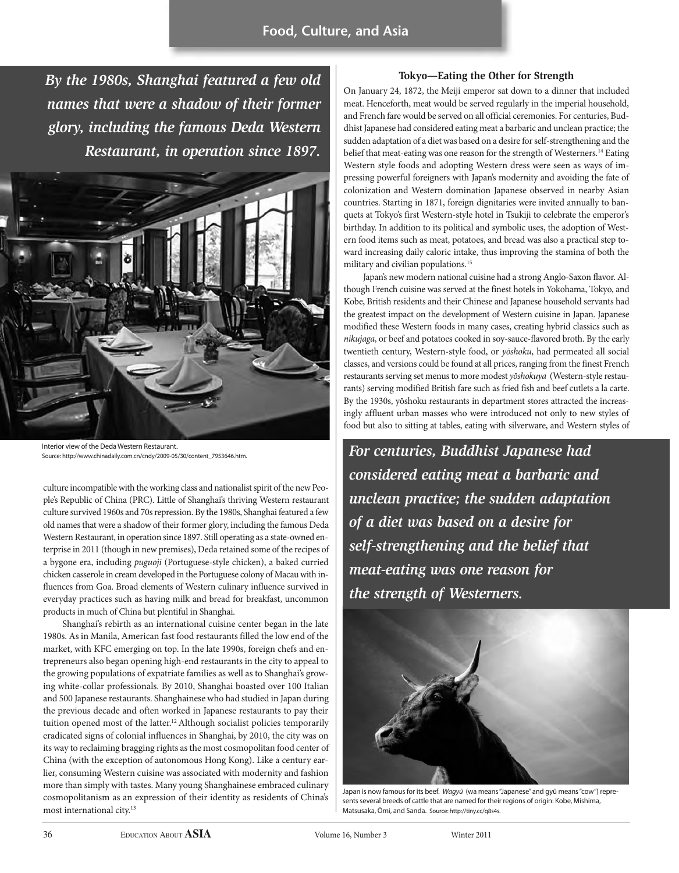# **Food, Culture, and Asia**

*By the 1980s, Shanghai featured a few old names that were a shadow of their former glory, including the famous Deda Western Restaurant, in operation since 1897.*



Interior view of the Deda Western Restaurant. Source: http://www.chinadaily.com.cn/cndy/2009-05/30/content\_7953646.htm.

culture incompatible with the working class and nationalist spirit of the new People's Republic of China (PRC). Little of Shanghai's thriving Western restaurant culture survived 1960s and 70s repression. By the 1980s, Shanghai featured a few old names that were a shadow of their former glory, including the famous Deda Western Restaurant, in operation since 1897. Still operating as a state-owned enterprise in 2011 (though in new premises), Deda retained some of the recipes of a bygone era, including puguoji (Portuguese-style chicken), a baked curried chicken casserole in cream developed in the Portuguese colony of Macau with influences from Goa. Broad elements of Western culinary influence survived in everyday practices such as having milk and bread for breakfast, uncommon products in much of China but plentiful in Shanghai.

Shanghai's rebirth as an international cuisine center began in the late 1980s. As in Manila, American fast food restaurants filled the low end of the market, with KFC emerging on top. In the late 1990s, foreign chefs and entrepreneurs also began opening high-end restaurants in the city to appeal to the growing populations of expatriate families as well as to Shanghai's growing white-collar professionals. By 2010, Shanghai boasted over 100 Italian and 500 Japanese restaurants. Shanghainese who had studied in Japan during the previous decade and often worked in Japanese restaurants to pay their tuition opened most of the latter.<sup>12</sup> Although socialist policies temporarily eradicated signs of colonial influences in Shanghai, by 2010, the city was on its way to reclaiming bragging rights as the most cosmopolitan food center of China (with the exception of autonomous Hong Kong). Like a century earlier, consuming Western cuisine was associated with modernity and fashion more than simply with tastes. Many young Shanghainese embraced culinary cosmopolitanism as an expression of their identity as residents of China's most international city.<sup>13</sup>

### **Tokyo—Eating the Other for Strength**

On January 24, 1872, the Meiji emperor sat down to a dinner that included meat. Henceforth, meat would be served regularly in the imperial household, and French fare would be served on all official ceremonies. For centuries, Buddhist Japanese had considered eating meat a barbaric and unclean practice; the sudden adaptation of a diet was based on a desire for self-strengthening and the belief that meat-eating was one reason for the strength of Westerners.<sup>14</sup> Eating Western style foods and adopting Western dress were seen as ways of impressing powerful foreigners with Japan's modernity and avoiding the fate of colonization and Western domination Japanese observed in nearby Asian countries. Starting in 1871, foreign dignitaries were invited annually to banquets at Tokyo's first Western-style hotel in Tsukiji to celebrate the emperor's birthday. In addition to its political and symbolic uses, the adoption of Western food items such as meat, potatoes, and bread was also a practical step toward increasing daily caloric intake, thus improving the stamina of both the military and civilian populations.<sup>15</sup>

Japan's new modern national cuisine had a strong Anglo-Saxon flavor. Although French cuisine was served at the finest hotels in Yokohama, Tokyo, and Kobe, British residents and their Chinese and Japanese household servants had the greatest impact on the development of Western cuisine in Japan. Japanese modified these Western foods in many cases, creating hybrid classics such as nikujaga, or beef and potatoes cooked in soy-sauce-flavored broth. By the early twentieth century, Western-style food, or yōshoku, had permeated all social classes, and versions could be found at all prices, ranging from the finest French restaurants serving set menus to more modest yōshokuya (Western-style restaurants) serving modified British fare such as fried fish and beef cutlets a la carte. By the 1930s, yōshoku restaurants in department stores attracted the increasingly affluent urban masses who were introduced not only to new styles of food but also to sitting at tables, eating with silverware, and Western styles of

*For centuries, Buddhist Japanese had considered eating meat a barbaric and unclean practice; the sudden adaptation of a diet was based on a desire for self-strengthening and the belief that meat-eating was one reason for the strength of Westerners.*



Japan is now famous for its beef. Wagyū (wa means "Japanese" and gyū means "cow") represents several breeds of cattle that are named for their regions of origin: Kobe, Mishima, Matsusaka, Ōmi, and Sanda. Source: http://tiny.cc/q8s4s.